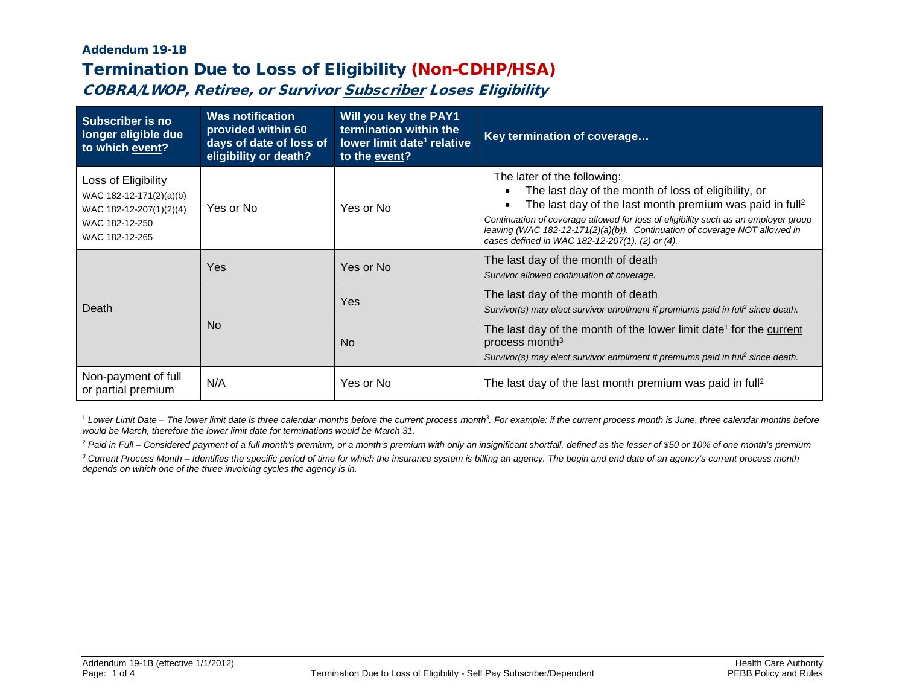## Addendum 19-1B Termination Due to Loss of Eligibility (Non-CDHP/HSA)

COBRA/LWOP, Retiree, or Survivor Subscriber Loses Eligibility

| Subscriber is no<br>longer eligible due<br>to which event?                                                    | <b>Was notification</b><br>provided within 60<br>days of date of loss of<br>eligibility or death? | Will you key the PAY1<br>termination within the<br>lower limit date <sup>1</sup> relative<br>to the event? | Key termination of coverage                                                                                                                                                                                                                                                                                                                                                        |
|---------------------------------------------------------------------------------------------------------------|---------------------------------------------------------------------------------------------------|------------------------------------------------------------------------------------------------------------|------------------------------------------------------------------------------------------------------------------------------------------------------------------------------------------------------------------------------------------------------------------------------------------------------------------------------------------------------------------------------------|
| Loss of Eligibility<br>WAC 182-12-171(2)(a)(b)<br>WAC 182-12-207(1)(2)(4)<br>WAC 182-12-250<br>WAC 182-12-265 | Yes or No                                                                                         | Yes or No                                                                                                  | The later of the following:<br>The last day of the month of loss of eligibility, or<br>The last day of the last month premium was paid in full <sup>2</sup><br>Continuation of coverage allowed for loss of eligibility such as an employer group<br>leaving (WAC 182-12-171(2)(a)(b)). Continuation of coverage NOT allowed in<br>cases defined in WAC 182-12-207(1), (2) or (4). |
| Death                                                                                                         | Yes                                                                                               | Yes or No                                                                                                  | The last day of the month of death<br>Survivor allowed continuation of coverage.                                                                                                                                                                                                                                                                                                   |
|                                                                                                               | No.                                                                                               | Yes                                                                                                        | The last day of the month of death<br>Survivor(s) may elect survivor enrollment if premiums paid in full <sup>e</sup> since death.                                                                                                                                                                                                                                                 |
|                                                                                                               |                                                                                                   | <b>No</b>                                                                                                  | The last day of the month of the lower limit date <sup>1</sup> for the current<br>process month $3$<br>Survivor(s) may elect survivor enrollment if premiums paid in full <sup>e</sup> since death.                                                                                                                                                                                |
| Non-payment of full<br>or partial premium                                                                     | N/A                                                                                               | Yes or No                                                                                                  | The last day of the last month premium was paid in full <sup>2</sup>                                                                                                                                                                                                                                                                                                               |

<sup>1</sup> Lower Limit Date – The lower limit date is three calendar months before the current process month<sup>3</sup>. For example: if the current process month is June, three calendar months before *would be March, therefore the lower limit date for terminations would be March 31.*

*<sup>2</sup> Paid in Full – Considered payment of a full month's premium, or a month's premium with only an insignificant shortfall, defined as the lesser of \$50 or 10% of one month's premium*

*<sup>3</sup> Current Process Month – Identifies the specific period of time for which the insurance system is billing an agency. The begin and end date of an agency's current process month depends on which one of the three invoicing cycles the agency is in.*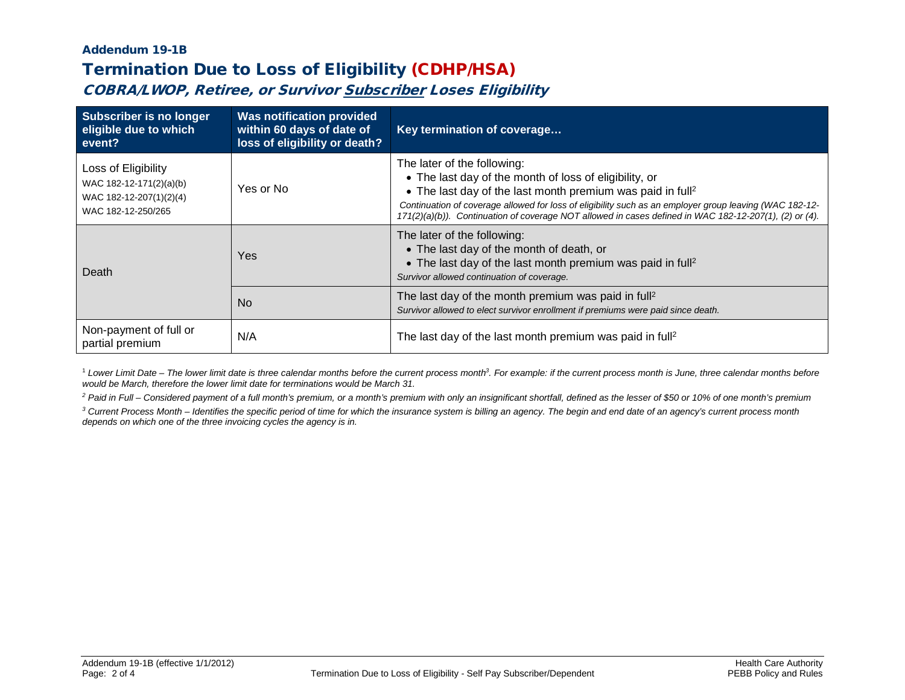## Addendum 19-1B Termination Due to Loss of Eligibility (CDHP/HSA)

COBRA/LWOP, Retiree, or Survivor Subscriber Loses Eligibility

| <b>Subscriber is no longer</b><br>eligible due to which<br>event?                               | <b>Was notification provided</b><br>within 60 days of date of<br>loss of eligibility or death? | Key termination of coverage                                                                                                                                                                                                                                                                                                                                                          |
|-------------------------------------------------------------------------------------------------|------------------------------------------------------------------------------------------------|--------------------------------------------------------------------------------------------------------------------------------------------------------------------------------------------------------------------------------------------------------------------------------------------------------------------------------------------------------------------------------------|
| Loss of Eligibility<br>WAC 182-12-171(2)(a)(b)<br>WAC 182-12-207(1)(2)(4)<br>WAC 182-12-250/265 | Yes or No                                                                                      | The later of the following:<br>• The last day of the month of loss of eligibility, or<br>• The last day of the last month premium was paid in full <sup>2</sup><br>Continuation of coverage allowed for loss of eligibility such as an employer group leaving (WAC 182-12-<br>171(2)(a)(b)). Continuation of coverage NOT allowed in cases defined in WAC 182-12-207(1), (2) or (4). |
| Death                                                                                           | Yes                                                                                            | The later of the following:<br>• The last day of the month of death, or<br>• The last day of the last month premium was paid in full <sup>2</sup><br>Survivor allowed continuation of coverage.                                                                                                                                                                                      |
|                                                                                                 | <b>No</b>                                                                                      | The last day of the month premium was paid in full <sup>2</sup><br>Survivor allowed to elect survivor enrollment if premiums were paid since death.                                                                                                                                                                                                                                  |
| Non-payment of full or<br>partial premium                                                       | N/A                                                                                            | The last day of the last month premium was paid in full <sup>2</sup>                                                                                                                                                                                                                                                                                                                 |

<sup>1</sup> Lower Limit Date – The lower limit date is three calendar months before the current process month<sup>3</sup>. For example: if the current process month is June, three calendar months before *would be March, therefore the lower limit date for terminations would be March 31.*

*<sup>2</sup> Paid in Full – Considered payment of a full month's premium, or a month's premium with only an insignificant shortfall, defined as the lesser of \$50 or 10% of one month's premium*

*<sup>3</sup> Current Process Month – Identifies the specific period of time for which the insurance system is billing an agency. The begin and end date of an agency's current process month depends on which one of the three invoicing cycles the agency is in.*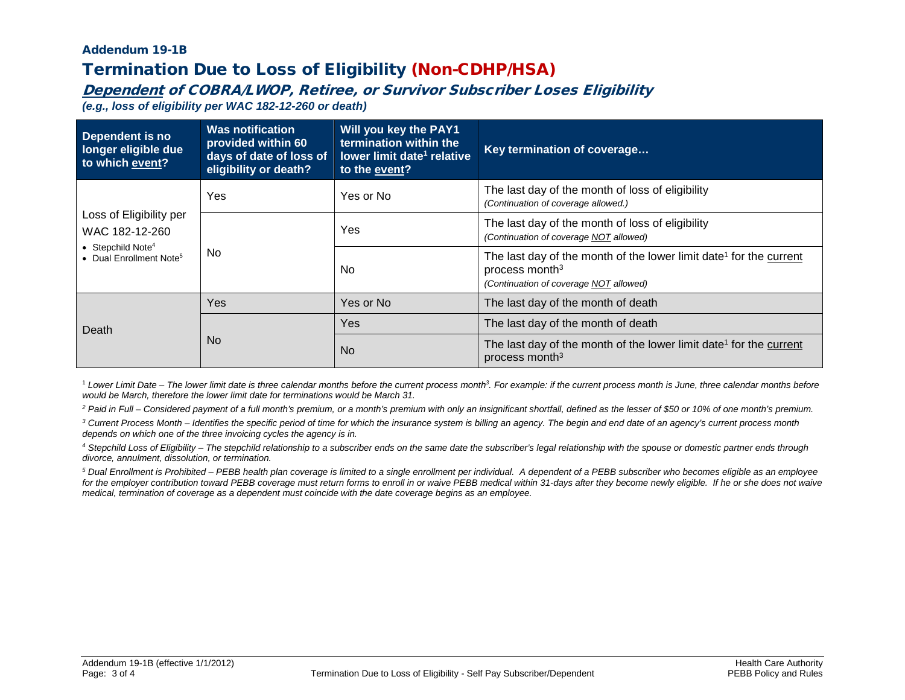# Addendum 19-1B Termination Due to Loss of Eligibility (Non-CDHP/HSA)

#### Dependent of COBRA/LWOP, Retiree, or Survivor Subscriber Loses Eligibility

*(e.g., loss of eligibility per WAC 182-12-260 or death)*

| Dependent is no<br>longer eligible due<br>to which event?                                                         | <b>Was notification</b><br>provided within 60<br>days of date of loss of<br>eligibility or death? | Will you key the PAY1<br>termination within the<br>lower limit date <sup>1</sup> relative<br>to the event? | Key termination of coverage                                                                                                                            |
|-------------------------------------------------------------------------------------------------------------------|---------------------------------------------------------------------------------------------------|------------------------------------------------------------------------------------------------------------|--------------------------------------------------------------------------------------------------------------------------------------------------------|
| Loss of Eligibility per<br>WAC 182-12-260<br>• Stepchild Note <sup>4</sup><br>• Dual Enrollment Note <sup>5</sup> | Yes                                                                                               | Yes or No                                                                                                  | The last day of the month of loss of eligibility<br>(Continuation of coverage allowed.)                                                                |
|                                                                                                                   | No.                                                                                               | Yes                                                                                                        | The last day of the month of loss of eligibility<br>(Continuation of coverage NOT allowed)                                                             |
|                                                                                                                   |                                                                                                   | No.                                                                                                        | The last day of the month of the lower limit date <sup>1</sup> for the current<br>process month <sup>3</sup><br>(Continuation of coverage NOT allowed) |
| Death                                                                                                             | Yes                                                                                               | Yes or No                                                                                                  | The last day of the month of death                                                                                                                     |
|                                                                                                                   | No.                                                                                               | Yes                                                                                                        | The last day of the month of death                                                                                                                     |
|                                                                                                                   |                                                                                                   | <b>No</b>                                                                                                  | The last day of the month of the lower limit date <sup>1</sup> for the current<br>process month <sup>3</sup>                                           |

<sup>1</sup> Lower Limit Date – The lower limit date is three calendar months before the current process month<sup>3</sup>. For example: if the current process month is June, three calendar months before *would be March, therefore the lower limit date for terminations would be March 31.*

*<sup>2</sup> Paid in Full – Considered payment of a full month's premium, or a month's premium with only an insignificant shortfall, defined as the lesser of \$50 or 10% of one month's premium.*

*<sup>3</sup> Current Process Month – Identifies the specific period of time for which the insurance system is billing an agency. The begin and end date of an agency's current process month depends on which one of the three invoicing cycles the agency is in.*

*<sup>4</sup> Stepchild Loss of Eligibility – The stepchild relationship to a subscriber ends on the same date the subscriber's legal relationship with the spouse or domestic partner ends through divorce, annulment, dissolution, or termination.*

*<sup>5</sup> Dual Enrollment is Prohibited – PEBB health plan coverage is limited to a single enrollment per individual. A dependent of a PEBB subscriber who becomes eligible as an employee*  for the employer contribution toward PEBB coverage must return forms to enroll in or waive PEBB medical within 31-days after they become newly eligible. If he or she does not waive *medical, termination of coverage as a dependent must coincide with the date coverage begins as an employee.*